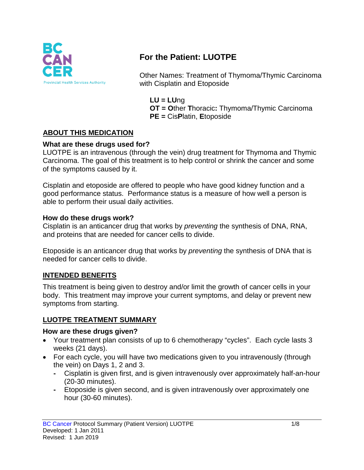

# **For the Patient: LUOTPE**

Other Names: Treatment of Thymoma/Thymic Carcinoma with Cisplatin and Etoposide

**LU = LU**ng **OT = O**ther **T**horacic**:** Thymoma/Thymic Carcinoma **PE =** Cis**P**latin, **E**toposide

### **ABOUT THIS MEDICATION**

#### **What are these drugs used for?**

LUOTPE is an intravenous (through the vein) drug treatment for Thymoma and Thymic Carcinoma. The goal of this treatment is to help control or shrink the cancer and some of the symptoms caused by it.

Cisplatin and etoposide are offered to people who have good kidney function and a good performance status. Performance status is a measure of how well a person is able to perform their usual daily activities.

#### **How do these drugs work?**

Cisplatin is an anticancer drug that works by *preventing* the synthesis of DNA, RNA, and proteins that are needed for cancer cells to divide.

Etoposide is an anticancer drug that works by *preventing* the synthesis of DNA that is needed for cancer cells to divide.

#### **INTENDED BENEFITS**

This treatment is being given to destroy and/or limit the growth of cancer cells in your body. This treatment may improve your current symptoms, and delay or prevent new symptoms from starting.

#### **LUOTPE TREATMENT SUMMARY**

#### **How are these drugs given?**

- Your treatment plan consists of up to 6 chemotherapy "cycles". Each cycle lasts 3 weeks (21 days).
- For each cycle, you will have two medications given to you intravenously (through the vein) on Days 1, 2 and 3.
	- **-** Cisplatin is given first, and is given intravenously over approximately half-an-hour (20-30 minutes).
	- **-** Etoposide is given second, and is given intravenously over approximately one hour (30-60 minutes).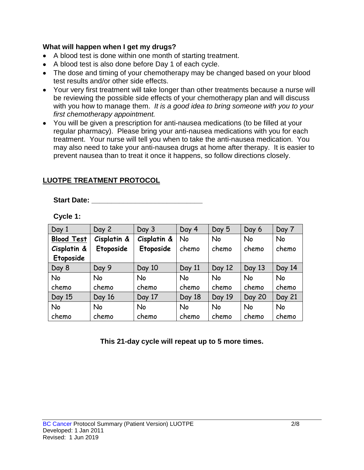#### **What will happen when I get my drugs?**

- A blood test is done within one month of starting treatment.
- A blood test is also done before Day 1 of each cycle.
- The dose and timing of your chemotherapy may be changed based on your blood test results and/or other side effects.
- Your very first treatment will take longer than other treatments because a nurse will be reviewing the possible side effects of your chemotherapy plan and will discuss with you how to manage them. *It is a good idea to bring someone with you to your first chemotherapy appointment.*
- You will be given a prescription for anti-nausea medications (to be filled at your regular pharmacy). Please bring your anti-nausea medications with you for each treatment. Your nurse will tell you when to take the anti-nausea medication. You may also need to take your anti-nausea drugs at home after therapy. It is easier to prevent nausea than to treat it once it happens, so follow directions closely.

#### **LUOTPE TREATMENT PROTOCOL**

#### **Start Date: \_\_\_\_\_\_\_\_\_\_\_\_\_\_\_\_\_\_\_\_\_\_\_\_\_\_\_\_**

| Cycle 1 |  |  |
|---------|--|--|
|---------|--|--|

| Day 1             | Day 2       | Day 3       | Day 4     | Day 5     | Day 6     | Day 7     |
|-------------------|-------------|-------------|-----------|-----------|-----------|-----------|
| <b>Blood Test</b> | Cisplatin & | Cisplatin & | <b>No</b> | <b>No</b> | <b>No</b> | <b>No</b> |
| Cisplatin &       | Etoposide   | Etoposide   | chemo     | chemo     | chemo     | chemo     |
| Etoposide         |             |             |           |           |           |           |
| Day 8             | Day 9       | Day 10      | Day 11    | Day 12    | Day 13    | Day 14    |
| No                | No          | <b>No</b>   | <b>No</b> | <b>No</b> | <b>No</b> | <b>No</b> |
| chemo             | chemo       | chemo       | chemo     | chemo     | chemo     | chemo     |
| Day 15            | Day 16      | Day 17      | Day 18    | Day 19    | Day 20    | Day 21    |
| No                | No          | <b>No</b>   | <b>No</b> | <b>No</b> | <b>No</b> | No        |
| chemo             | chemo       | chemo       | chemo     | chemo     | chemo     | chemo     |

**This 21-day cycle will repeat up to 5 more times.**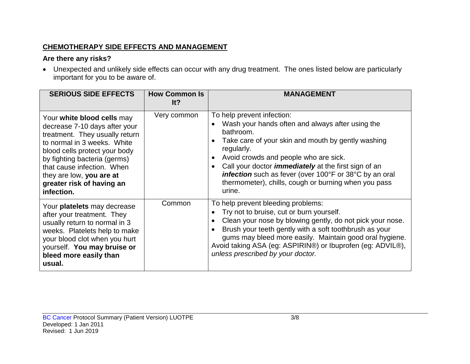### **CHEMOTHERAPY SIDE EFFECTS AND MANAGEMENT**

### **Are there any risks?**

• Unexpected and unlikely side effects can occur with any drug treatment. The ones listed below are particularly important for you to be aware of.

| <b>SERIOUS SIDE EFFECTS</b>                                                                                                                                                                                                                                                                        | <b>How Common Is</b><br>It? | <b>MANAGEMENT</b>                                                                                                                                                                                                                                                                                                                                                                                   |
|----------------------------------------------------------------------------------------------------------------------------------------------------------------------------------------------------------------------------------------------------------------------------------------------------|-----------------------------|-----------------------------------------------------------------------------------------------------------------------------------------------------------------------------------------------------------------------------------------------------------------------------------------------------------------------------------------------------------------------------------------------------|
| Your white blood cells may<br>decrease 7-10 days after your<br>treatment. They usually return<br>to normal in 3 weeks. White<br>blood cells protect your body<br>by fighting bacteria (germs)<br>that cause infection. When<br>they are low, you are at<br>greater risk of having an<br>infection. | Very common                 | To help prevent infection:<br>Wash your hands often and always after using the<br>bathroom.<br>Take care of your skin and mouth by gently washing<br>regularly.<br>Avoid crowds and people who are sick.<br>Call your doctor <i>immediately</i> at the first sign of an<br>infection such as fever (over 100°F or 38°C by an oral<br>thermometer), chills, cough or burning when you pass<br>urine. |
| Your platelets may decrease<br>after your treatment. They<br>usually return to normal in 3<br>weeks. Platelets help to make<br>your blood clot when you hurt<br>yourself. You may bruise or<br>bleed more easily than<br>usual.                                                                    | Common                      | To help prevent bleeding problems:<br>Try not to bruise, cut or burn yourself.<br>Clean your nose by blowing gently, do not pick your nose.<br>Brush your teeth gently with a soft toothbrush as your<br>gums may bleed more easily. Maintain good oral hygiene.<br>Avoid taking ASA (eg: ASPIRIN®) or Ibuprofen (eg: ADVIL®),<br>unless prescribed by your doctor.                                 |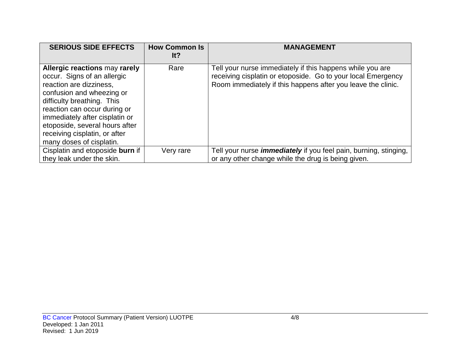| <b>SERIOUS SIDE EFFECTS</b>                                                                                                                                                                                                                                                                                                | <b>How Common Is</b><br>lt? | <b>MANAGEMENT</b>                                                                                                                                                                         |
|----------------------------------------------------------------------------------------------------------------------------------------------------------------------------------------------------------------------------------------------------------------------------------------------------------------------------|-----------------------------|-------------------------------------------------------------------------------------------------------------------------------------------------------------------------------------------|
| <b>Allergic reactions may rarely</b><br>occur. Signs of an allergic<br>reaction are dizziness,<br>confusion and wheezing or<br>difficulty breathing. This<br>reaction can occur during or<br>immediately after cisplatin or<br>etoposide, several hours after<br>receiving cisplatin, or after<br>many doses of cisplatin. | Rare                        | Tell your nurse immediately if this happens while you are<br>receiving cisplatin or etoposide. Go to your local Emergency<br>Room immediately if this happens after you leave the clinic. |
| Cisplatin and etoposide burn if<br>they leak under the skin.                                                                                                                                                                                                                                                               | Very rare                   | Tell your nurse <i>immediately</i> if you feel pain, burning, stinging,<br>or any other change while the drug is being given.                                                             |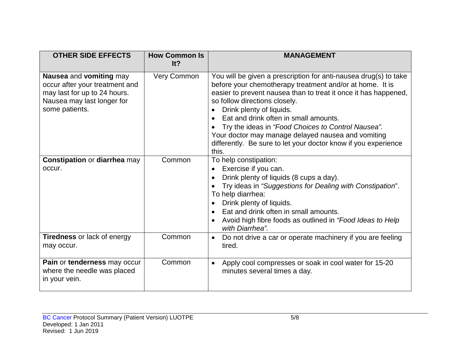| <b>OTHER SIDE EFFECTS</b>                                                                                                                 | <b>How Common Is</b><br>It? | <b>MANAGEMENT</b>                                                                                                                                                                                                                                                                                                                                                                                                                                                                            |
|-------------------------------------------------------------------------------------------------------------------------------------------|-----------------------------|----------------------------------------------------------------------------------------------------------------------------------------------------------------------------------------------------------------------------------------------------------------------------------------------------------------------------------------------------------------------------------------------------------------------------------------------------------------------------------------------|
| Nausea and vomiting may<br>occur after your treatment and<br>may last for up to 24 hours.<br>Nausea may last longer for<br>some patients. | Very Common                 | You will be given a prescription for anti-nausea drug(s) to take<br>before your chemotherapy treatment and/or at home. It is<br>easier to prevent nausea than to treat it once it has happened,<br>so follow directions closely.<br>Drink plenty of liquids.<br>Eat and drink often in small amounts.<br>Try the ideas in "Food Choices to Control Nausea".<br>Your doctor may manage delayed nausea and vomiting<br>differently. Be sure to let your doctor know if you experience<br>this. |
| <b>Constipation or diarrhea may</b><br>occur.                                                                                             | Common                      | To help constipation:<br>Exercise if you can.<br>Drink plenty of liquids (8 cups a day).<br>Try ideas in "Suggestions for Dealing with Constipation".<br>To help diarrhea:<br>Drink plenty of liquids.<br>Eat and drink often in small amounts.<br>Avoid high fibre foods as outlined in "Food Ideas to Help"<br>with Diarrhea".                                                                                                                                                             |
| <b>Tiredness</b> or lack of energy<br>may occur.                                                                                          | Common                      | Do not drive a car or operate machinery if you are feeling<br>$\bullet$<br>tired.                                                                                                                                                                                                                                                                                                                                                                                                            |
| Pain or tenderness may occur<br>where the needle was placed<br>in your vein.                                                              | Common                      | Apply cool compresses or soak in cool water for 15-20<br>$\bullet$<br>minutes several times a day.                                                                                                                                                                                                                                                                                                                                                                                           |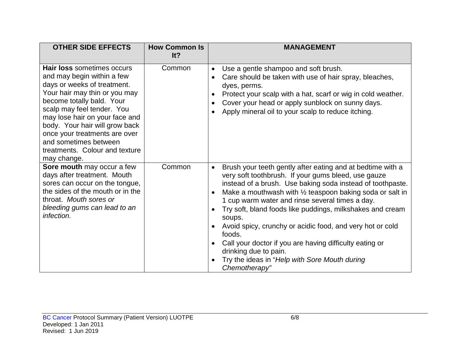| <b>OTHER SIDE EFFECTS</b>                                                                                                                                                                                                                                                                                                                                                 | <b>How Common Is</b><br>It? | <b>MANAGEMENT</b>                                                                                                                                                                                                                                                                                                                                                                                                                                                                                                                                                                                                                       |
|---------------------------------------------------------------------------------------------------------------------------------------------------------------------------------------------------------------------------------------------------------------------------------------------------------------------------------------------------------------------------|-----------------------------|-----------------------------------------------------------------------------------------------------------------------------------------------------------------------------------------------------------------------------------------------------------------------------------------------------------------------------------------------------------------------------------------------------------------------------------------------------------------------------------------------------------------------------------------------------------------------------------------------------------------------------------------|
| <b>Hair loss sometimes occurs</b><br>and may begin within a few<br>days or weeks of treatment.<br>Your hair may thin or you may<br>become totally bald. Your<br>scalp may feel tender. You<br>may lose hair on your face and<br>body. Your hair will grow back<br>once your treatments are over<br>and sometimes between<br>treatments. Colour and texture<br>may change. | Common                      | Use a gentle shampoo and soft brush.<br>$\bullet$<br>Care should be taken with use of hair spray, bleaches,<br>dyes, perms.<br>Protect your scalp with a hat, scarf or wig in cold weather.<br>Cover your head or apply sunblock on sunny days.<br>Apply mineral oil to your scalp to reduce itching.                                                                                                                                                                                                                                                                                                                                   |
| Sore mouth may occur a few<br>days after treatment. Mouth<br>sores can occur on the tongue,<br>the sides of the mouth or in the<br>throat. Mouth sores or<br>bleeding gums can lead to an<br>infection.                                                                                                                                                                   | Common                      | Brush your teeth gently after eating and at bedtime with a<br>$\bullet$<br>very soft toothbrush. If your gums bleed, use gauze<br>instead of a brush. Use baking soda instead of toothpaste.<br>Make a mouthwash with $\frac{1}{2}$ teaspoon baking soda or salt in<br>1 cup warm water and rinse several times a day.<br>Try soft, bland foods like puddings, milkshakes and cream<br>$\bullet$<br>soups.<br>Avoid spicy, crunchy or acidic food, and very hot or cold<br>foods.<br>Call your doctor if you are having difficulty eating or<br>drinking due to pain.<br>Try the ideas in "Help with Sore Mouth during<br>Chemotherapy" |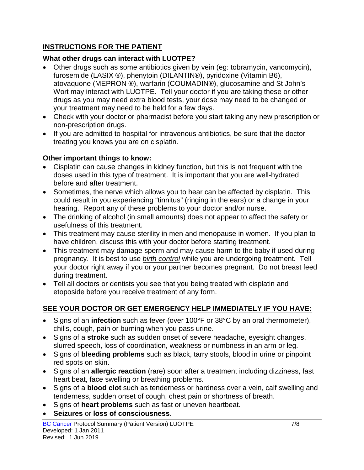### **INSTRUCTIONS FOR THE PATIENT**

### **What other drugs can interact with LUOTPE?**

- Other drugs such as some antibiotics given by vein (eg: tobramycin, vancomycin), furosemide (LASIX ®), phenytoin (DILANTIN®), pyridoxine (Vitamin B6), atovaquone (MEPRON ®), warfarin (COUMADIN®), glucosamine and St John's Wort may interact with LUOTPE. Tell your doctor if you are taking these or other drugs as you may need extra blood tests, your dose may need to be changed or your treatment may need to be held for a few days.
- Check with your doctor or pharmacist before you start taking any new prescription or non-prescription drugs.
- If you are admitted to hospital for intravenous antibiotics, be sure that the doctor treating you knows you are on cisplatin.

### **Other important things to know:**

- Cisplatin can cause changes in kidney function, but this is not frequent with the doses used in this type of treatment. It is important that you are well-hydrated before and after treatment.
- Sometimes, the nerve which allows you to hear can be affected by cisplatin. This could result in you experiencing "tinnitus" (ringing in the ears) or a change in your hearing. Report any of these problems to your doctor and/or nurse.
- The drinking of alcohol (in small amounts) does not appear to affect the safety or usefulness of this treatment.
- This treatment may cause sterility in men and menopause in women. If you plan to have children, discuss this with your doctor before starting treatment.
- This treatment may damage sperm and may cause harm to the baby if used during pregnancy. It is best to use *birth control* while you are undergoing treatment. Tell your doctor right away if you or your partner becomes pregnant. Do not breast feed during treatment.
- Tell all doctors or dentists you see that you being treated with cisplatin and etoposide before you receive treatment of any form.

## **SEE YOUR DOCTOR OR GET EMERGENCY HELP IMMEDIATELY IF YOU HAVE:**

- Signs of an **infection** such as fever (over 100°F or 38°C by an oral thermometer), chills, cough, pain or burning when you pass urine.
- Signs of a **stroke** such as sudden onset of severe headache, eyesight changes, slurred speech, loss of coordination, weakness or numbness in an arm or leg.
- Signs of **bleeding problems** such as black, tarry stools, blood in urine or pinpoint red spots on skin.
- Signs of an **allergic reaction** (rare) soon after a treatment including dizziness, fast heart beat, face swelling or breathing problems.
- Signs of a **blood clot** such as tenderness or hardness over a vein, calf swelling and tenderness, sudden onset of cough, chest pain or shortness of breath.
- Signs of **heart problems** such as fast or uneven heartbeat.
- **Seizures** or **loss of consciousness**.